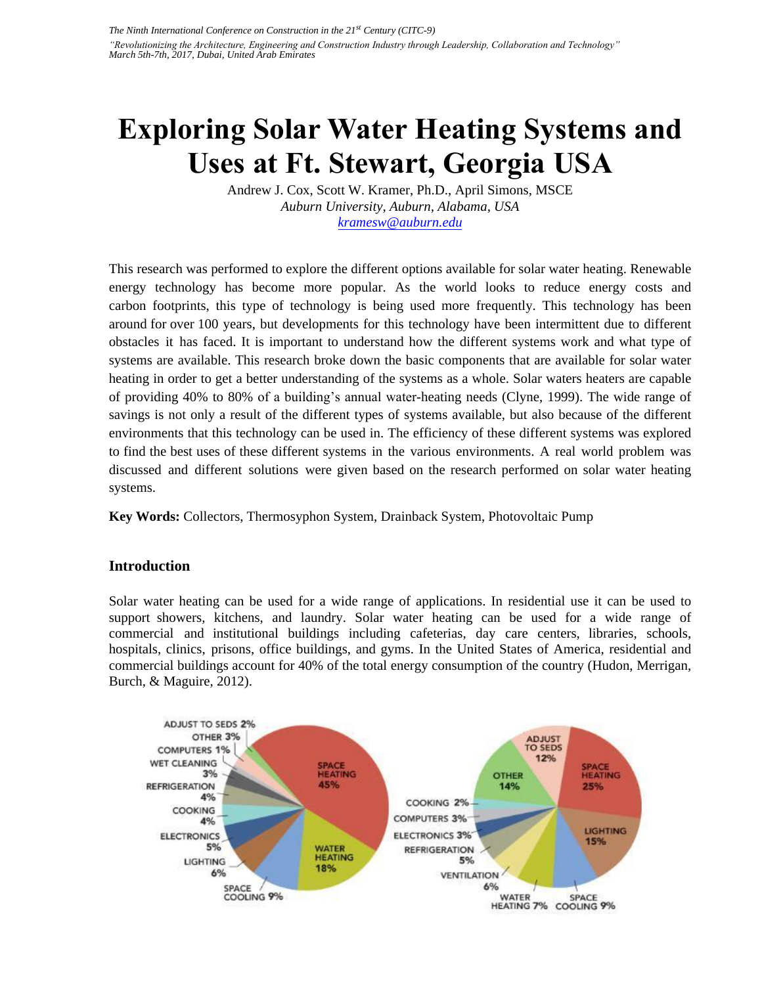# **Exploring Solar Water Heating Systems and Uses at Ft. Stewart, Georgia USA**

Andrew J. Cox, Scott W. Kramer, Ph.D., April Simons, MSCE *Auburn University, Auburn, Alabama, USA kramesw@auburn.edu*

This research was performed to explore the different options available for solar water heating. Renewable energy technology has become more popular. As the world looks to reduce energy costs and carbon footprints, this type of technology is being used more frequently. This technology has been around for over 100 years, but developments for this technology have been intermittent due to different obstacles it has faced. It is important to understand how the different systems work and what type of systems are available. This research broke down the basic components that are available for solar water heating in order to get a better understanding of the systems as a whole. Solar waters heaters are capable of providing 40% to 80% of a building's annual water-heating needs (Clyne, 1999). The wide range of savings is not only a result of the different types of systems available, but also because of the different environments that this technology can be used in. The efficiency of these different systems was explored to find the best uses of these different systems in the various environments. A real world problem was discussed and different solutions were given based on the research performed on solar water heating systems.

**Key Words:** Collectors, Thermosyphon System, Drainback System, Photovoltaic Pump

# **Introduction**

Solar water heating can be used for a wide range of applications. In residential use it can be used to support showers, kitchens, and laundry. Solar water heating can be used for a wide range of commercial and institutional buildings including cafeterias, day care centers, libraries, schools, hospitals, clinics, prisons, office buildings, and gyms. In the United States of America, residential and commercial buildings account for 40% of the total energy consumption of the country (Hudon, Merrigan, Burch, & Maguire, 2012).

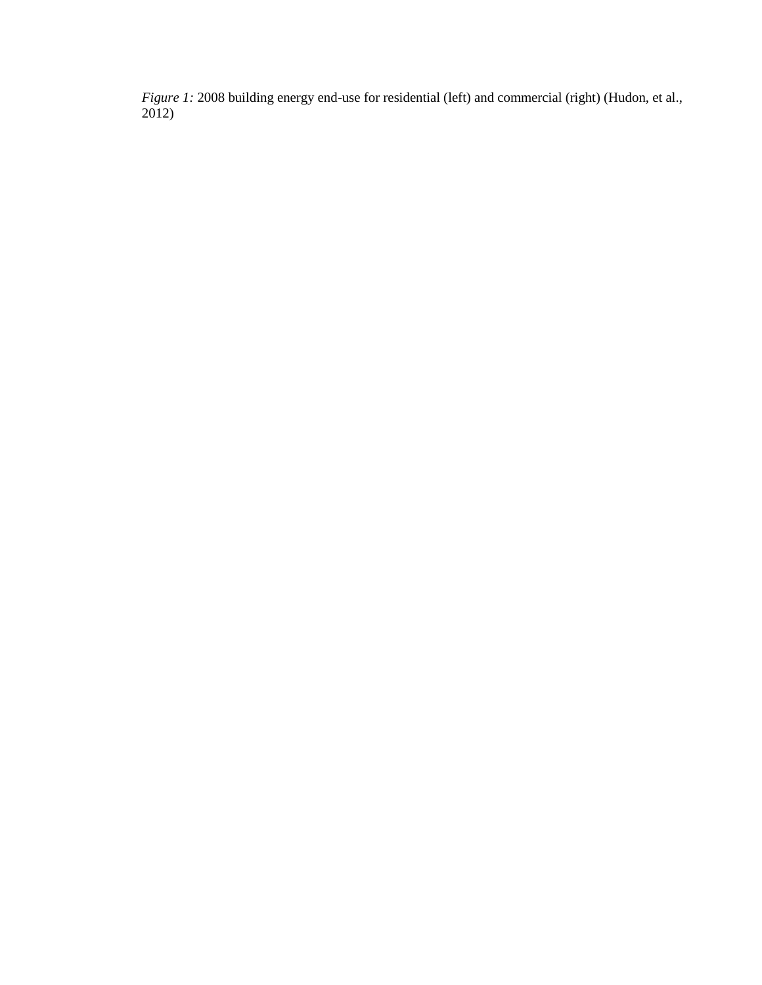*Figure 1:* 2008 building energy end-use for residential (left) and commercial (right) (Hudon, et al., 2012)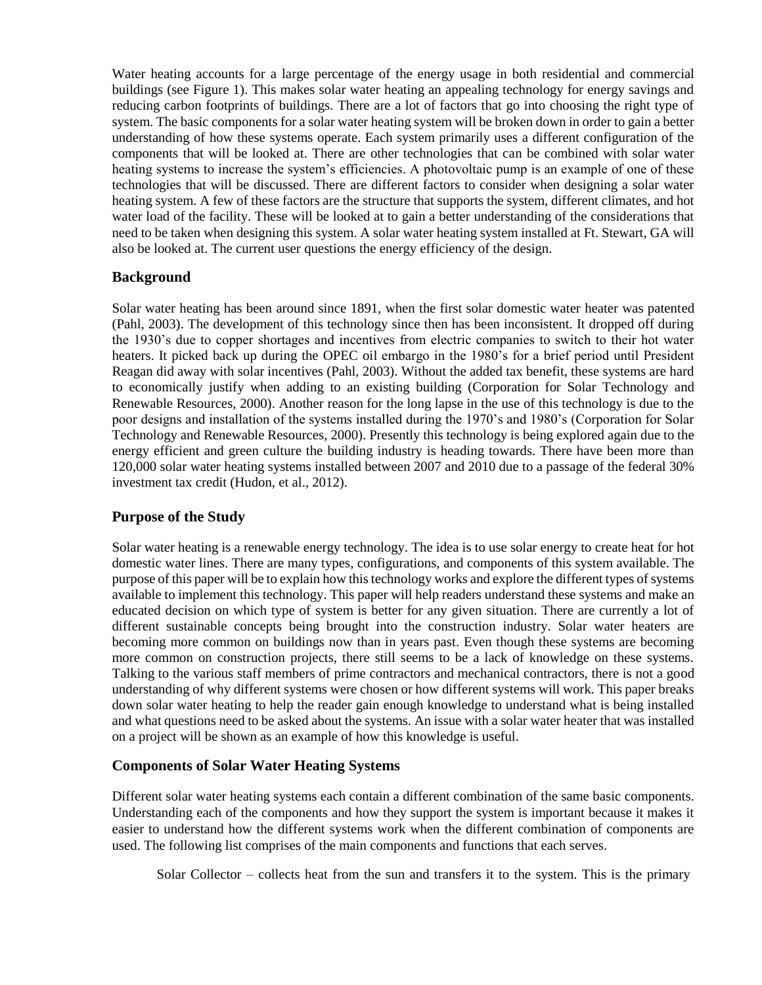Water heating accounts for a large percentage of the energy usage in both residential and commercial buildings (see Figure 1). This makes solar water heating an appealing technology for energy savings and reducing carbon footprints of buildings. There are a lot of factors that go into choosing the right type of system. The basic components for a solar water heating system will be broken down in order to gain a better understanding of how these systems operate. Each system primarily uses a different configuration of the components that will be looked at. There are other technologies that can be combined with solar water heating systems to increase the system's efficiencies. A photovoltaic pump is an example of one of these technologies that will be discussed. There are different factors to consider when designing a solar water heating system. A few of these factors are the structure that supports the system, different climates, and hot water load of the facility. These will be looked at to gain a better understanding of the considerations that need to be taken when designing this system. A solar water heating system installed at Ft. Stewart, GA will also be looked at. The current user questions the energy efficiency of the design.

## **Background**

Solar water heating has been around since 1891, when the first solar domestic water heater was patented (Pahl, 2003). The development of this technology since then has been inconsistent. It dropped off during the 1930's due to copper shortages and incentives from electric companies to switch to their hot water heaters. It picked back up during the OPEC oil embargo in the 1980's for a brief period until President Reagan did away with solar incentives (Pahl, 2003). Without the added tax benefit, these systems are hard to economically justify when adding to an existing building (Corporation for Solar Technology and Renewable Resources, 2000). Another reason for the long lapse in the use of this technology is due to the poor designs and installation of the systems installed during the 1970's and 1980's (Corporation for Solar Technology and Renewable Resources, 2000). Presently this technology is being explored again due to the energy efficient and green culture the building industry is heading towards. There have been more than 120,000 solar water heating systems installed between 2007 and 2010 due to a passage of the federal 30% investment tax credit (Hudon, et al., 2012).

# **Purpose of the Study**

Solar water heating is a renewable energy technology. The idea is to use solar energy to create heat for hot domestic water lines. There are many types, configurations, and components of this system available. The purpose of this paper will be to explain how this technology works and explore the different types of systems available to implement this technology. This paper will help readers understand these systems and make an educated decision on which type of system is better for any given situation. There are currently a lot of different sustainable concepts being brought into the construction industry. Solar water heaters are becoming more common on buildings now than in years past. Even though these systems are becoming more common on construction projects, there still seems to be a lack of knowledge on these systems. Talking to the various staff members of prime contractors and mechanical contractors, there is not a good understanding of why different systems were chosen or how different systems will work. This paper breaks down solar water heating to help the reader gain enough knowledge to understand what is being installed and what questions need to be asked about the systems. An issue with a solar water heater that was installed on a project will be shown as an example of how this knowledge is useful.

## **Components of Solar Water Heating Systems**

Different solar water heating systems each contain a different combination of the same basic components. Understanding each of the components and how they support the system is important because it makes it easier to understand how the different systems work when the different combination of components are used. The following list comprises of the main components and functions that each serves.

Solar Collector – collects heat from the sun and transfers it to the system. This is the primary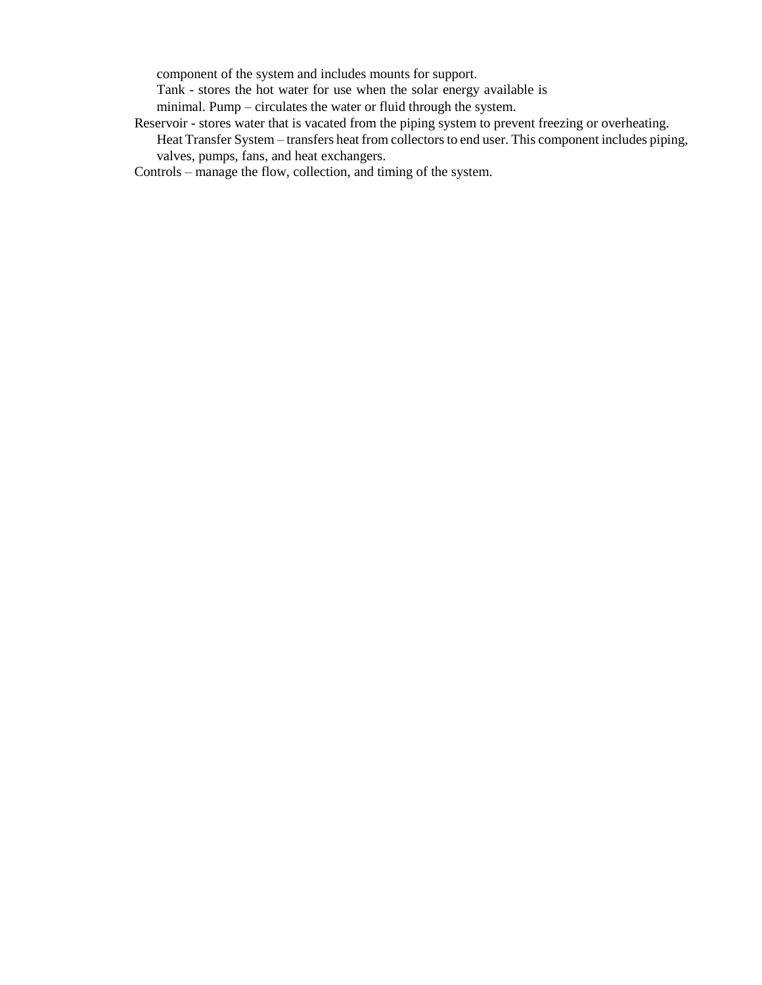component of the system and includes mounts for support.

Tank - stores the hot water for use when the solar energy available is

minimal. Pump – circulates the water or fluid through the system.

Reservoir - stores water that is vacated from the piping system to prevent freezing or overheating. Heat Transfer System – transfers heat from collectors to end user. This component includes piping, valves, pumps, fans, and heat exchangers.

Controls – manage the flow, collection, and timing of the system.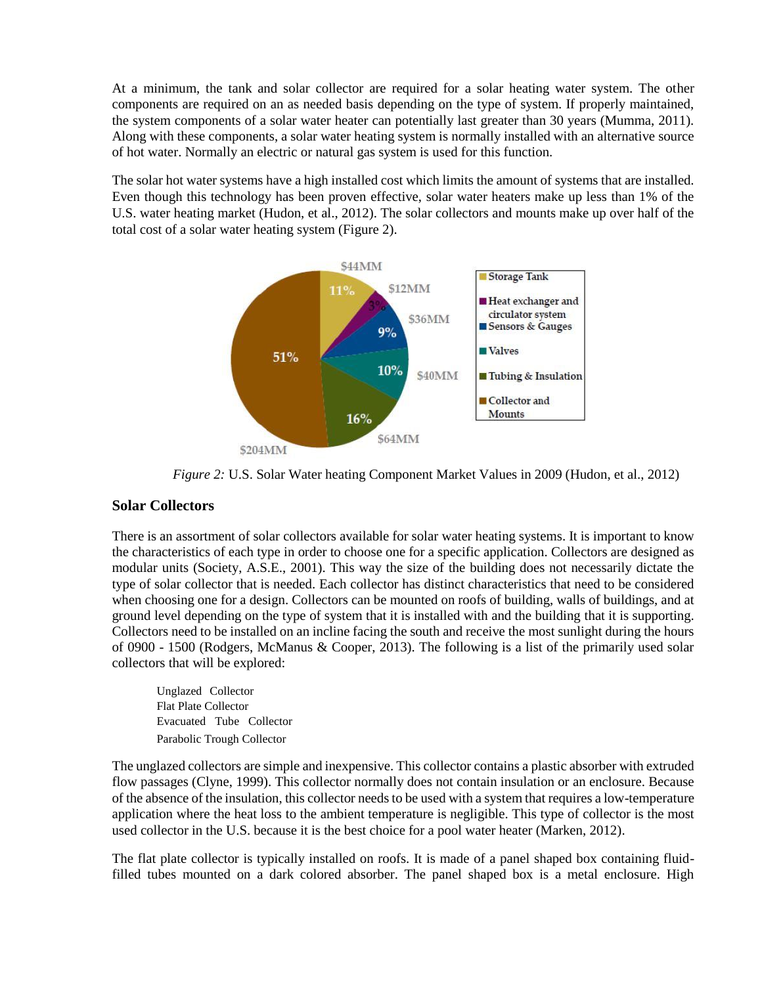At a minimum, the tank and solar collector are required for a solar heating water system. The other components are required on an as needed basis depending on the type of system. If properly maintained, the system components of a solar water heater can potentially last greater than 30 years (Mumma, 2011). Along with these components, a solar water heating system is normally installed with an alternative source of hot water. Normally an electric or natural gas system is used for this function.

The solar hot water systems have a high installed cost which limits the amount of systems that are installed. Even though this technology has been proven effective, solar water heaters make up less than 1% of the U.S. water heating market (Hudon, et al., 2012). The solar collectors and mounts make up over half of the total cost of a solar water heating system (Figure 2).



*Figure 2:* U.S. Solar Water heating Component Market Values in 2009 (Hudon, et al., 2012)

## **Solar Collectors**

There is an assortment of solar collectors available for solar water heating systems. It is important to know the characteristics of each type in order to choose one for a specific application. Collectors are designed as modular units (Society, A.S.E., 2001). This way the size of the building does not necessarily dictate the type of solar collector that is needed. Each collector has distinct characteristics that need to be considered when choosing one for a design. Collectors can be mounted on roofs of building, walls of buildings, and at ground level depending on the type of system that it is installed with and the building that it is supporting. Collectors need to be installed on an incline facing the south and receive the most sunlight during the hours of 0900 - 1500 (Rodgers, McManus & Cooper, 2013). The following is a list of the primarily used solar collectors that will be explored:

Unglazed Collector Flat Plate Collector Evacuated Tube Collector Parabolic Trough Collector

The unglazed collectors are simple and inexpensive. This collector contains a plastic absorber with extruded flow passages (Clyne, 1999). This collector normally does not contain insulation or an enclosure. Because of the absence of the insulation, this collector needs to be used with a system that requires a low-temperature application where the heat loss to the ambient temperature is negligible. This type of collector is the most used collector in the U.S. because it is the best choice for a pool water heater (Marken, 2012).

The flat plate collector is typically installed on roofs. It is made of a panel shaped box containing fluidfilled tubes mounted on a dark colored absorber. The panel shaped box is a metal enclosure. High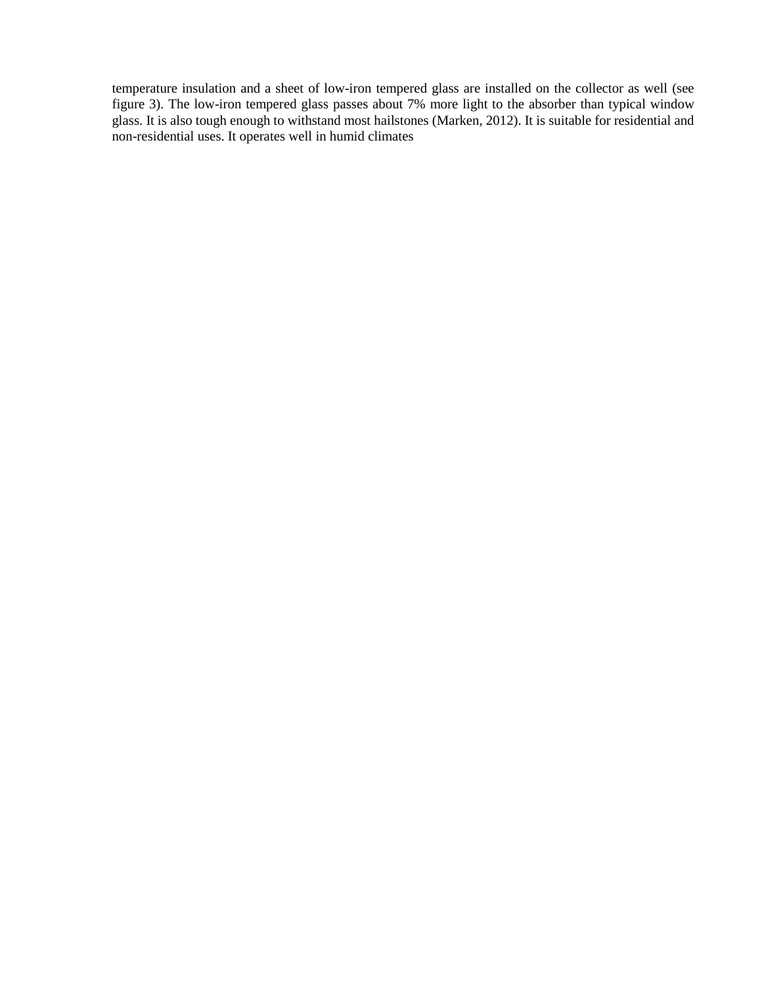temperature insulation and a sheet of low-iron tempered glass are installed on the collector as well (see figure 3). The low-iron tempered glass passes about 7% more light to the absorber than typical window glass. It is also tough enough to withstand most hailstones (Marken, 2012). It is suitable for residential and non-residential uses. It operates well in humid climates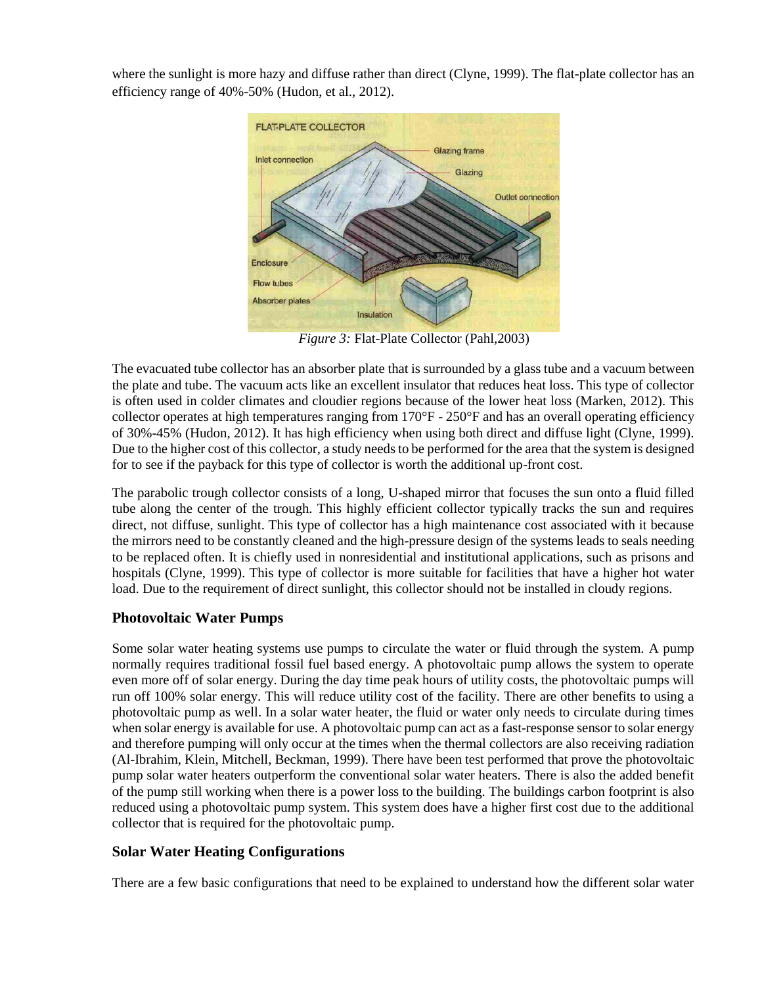where the sunlight is more hazy and diffuse rather than direct (Clyne, 1999). The flat-plate collector has an efficiency range of 40%-50% (Hudon, et al., 2012).



*Figure 3:* Flat-Plate Collector (Pahl,2003)

The evacuated tube collector has an absorber plate that is surrounded by a glass tube and a vacuum between the plate and tube. The vacuum acts like an excellent insulator that reduces heat loss. This type of collector is often used in colder climates and cloudier regions because of the lower heat loss (Marken, 2012). This collector operates at high temperatures ranging from 170°F - 250°F and has an overall operating efficiency of 30%-45% (Hudon, 2012). It has high efficiency when using both direct and diffuse light (Clyne, 1999). Due to the higher cost of this collector, a study needs to be performed for the area that the system is designed for to see if the payback for this type of collector is worth the additional up-front cost.

The parabolic trough collector consists of a long, U-shaped mirror that focuses the sun onto a fluid filled tube along the center of the trough. This highly efficient collector typically tracks the sun and requires direct, not diffuse, sunlight. This type of collector has a high maintenance cost associated with it because the mirrors need to be constantly cleaned and the high-pressure design of the systems leads to seals needing to be replaced often. It is chiefly used in nonresidential and institutional applications, such as prisons and hospitals (Clyne, 1999). This type of collector is more suitable for facilities that have a higher hot water load. Due to the requirement of direct sunlight, this collector should not be installed in cloudy regions.

# **Photovoltaic Water Pumps**

Some solar water heating systems use pumps to circulate the water or fluid through the system. A pump normally requires traditional fossil fuel based energy. A photovoltaic pump allows the system to operate even more off of solar energy. During the day time peak hours of utility costs, the photovoltaic pumps will run off 100% solar energy. This will reduce utility cost of the facility. There are other benefits to using a photovoltaic pump as well. In a solar water heater, the fluid or water only needs to circulate during times when solar energy is available for use. A photovoltaic pump can act as a fast-response sensor to solar energy and therefore pumping will only occur at the times when the thermal collectors are also receiving radiation (Al-Ibrahim, Klein, Mitchell, Beckman, 1999). There have been test performed that prove the photovoltaic pump solar water heaters outperform the conventional solar water heaters. There is also the added benefit of the pump still working when there is a power loss to the building. The buildings carbon footprint is also reduced using a photovoltaic pump system. This system does have a higher first cost due to the additional collector that is required for the photovoltaic pump.

# **Solar Water Heating Configurations**

There are a few basic configurations that need to be explained to understand how the different solar water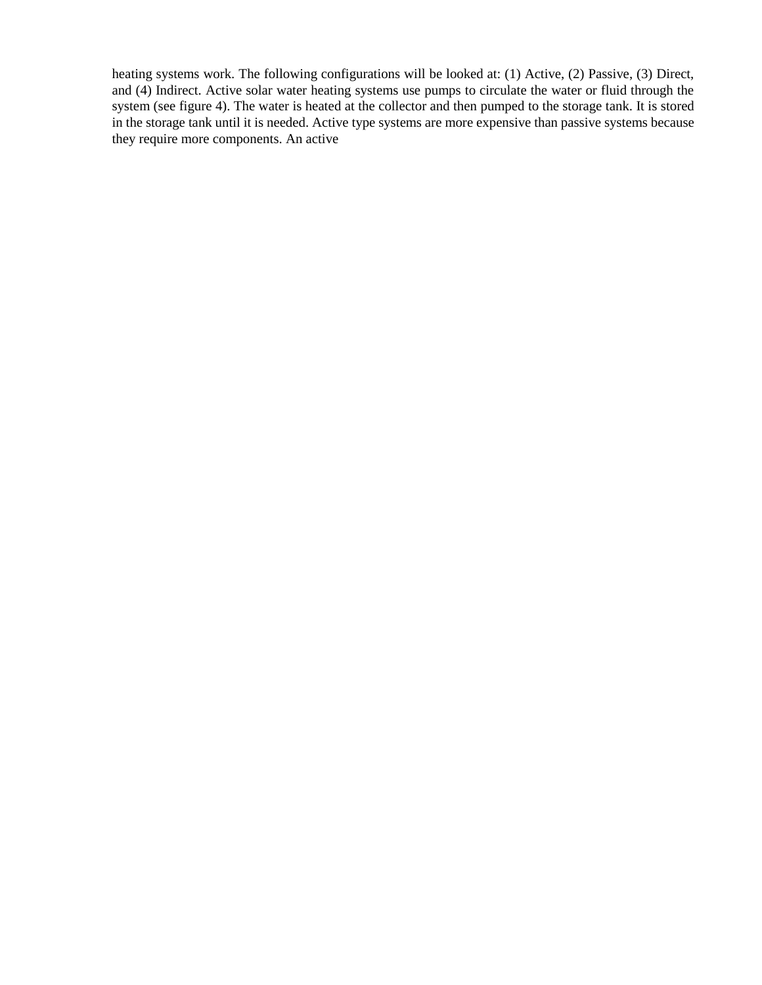heating systems work. The following configurations will be looked at: (1) Active, (2) Passive, (3) Direct, and (4) Indirect. Active solar water heating systems use pumps to circulate the water or fluid through the system (see figure 4). The water is heated at the collector and then pumped to the storage tank. It is stored in the storage tank until it is needed. Active type systems are more expensive than passive systems because they require more components. An active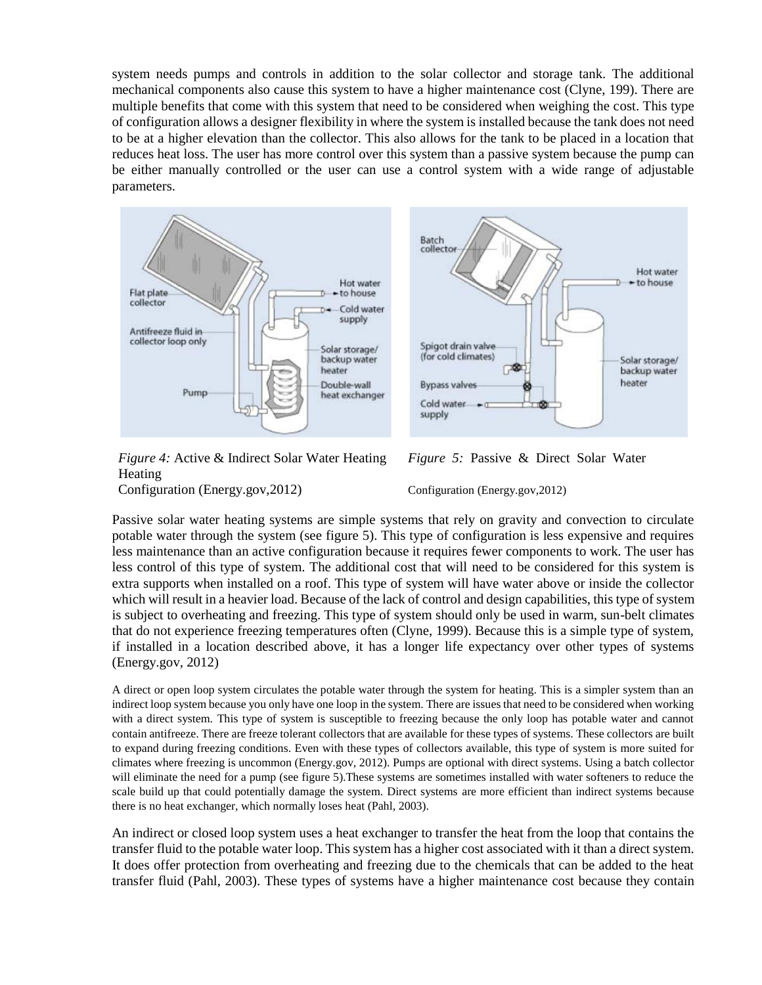system needs pumps and controls in addition to the solar collector and storage tank. The additional mechanical components also cause this system to have a higher maintenance cost (Clyne, 199). There are multiple benefits that come with this system that need to be considered when weighing the cost. This type of configuration allows a designer flexibility in where the system is installed because the tank does not need to be at a higher elevation than the collector. This also allows for the tank to be placed in a location that reduces heat loss. The user has more control over this system than a passive system because the pump can be either manually controlled or the user can use a control system with a wide range of adjustable parameters.



*Figure 4:* Active & Indirect Solar Water Heating *Figure 5:* Passive & Direct Solar Water Heating



Configuration (Energy.gov,2012) Configuration (Energy.gov,2012)

Passive solar water heating systems are simple systems that rely on gravity and convection to circulate potable water through the system (see figure 5). This type of configuration is less expensive and requires less maintenance than an active configuration because it requires fewer components to work. The user has less control of this type of system. The additional cost that will need to be considered for this system is extra supports when installed on a roof. This type of system will have water above or inside the collector which will result in a heavier load. Because of the lack of control and design capabilities, this type of system is subject to overheating and freezing. This type of system should only be used in warm, sun-belt climates that do not experience freezing temperatures often (Clyne, 1999). Because this is a simple type of system, if installed in a location described above, it has a longer life expectancy over other types of systems (Energy.gov, 2012)

A direct or open loop system circulates the potable water through the system for heating. This is a simpler system than an indirect loop system because you only have one loop in the system. There are issues that need to be considered when working with a direct system. This type of system is susceptible to freezing because the only loop has potable water and cannot contain antifreeze. There are freeze tolerant collectors that are available for these types of systems. These collectors are built to expand during freezing conditions. Even with these types of collectors available, this type of system is more suited for climates where freezing is uncommon (Energy.gov, 2012). Pumps are optional with direct systems. Using a batch collector will eliminate the need for a pump (see figure 5).These systems are sometimes installed with water softeners to reduce the scale build up that could potentially damage the system. Direct systems are more efficient than indirect systems because there is no heat exchanger, which normally loses heat (Pahl, 2003).

An indirect or closed loop system uses a heat exchanger to transfer the heat from the loop that contains the transfer fluid to the potable water loop. This system has a higher cost associated with it than a direct system. It does offer protection from overheating and freezing due to the chemicals that can be added to the heat transfer fluid (Pahl, 2003). These types of systems have a higher maintenance cost because they contain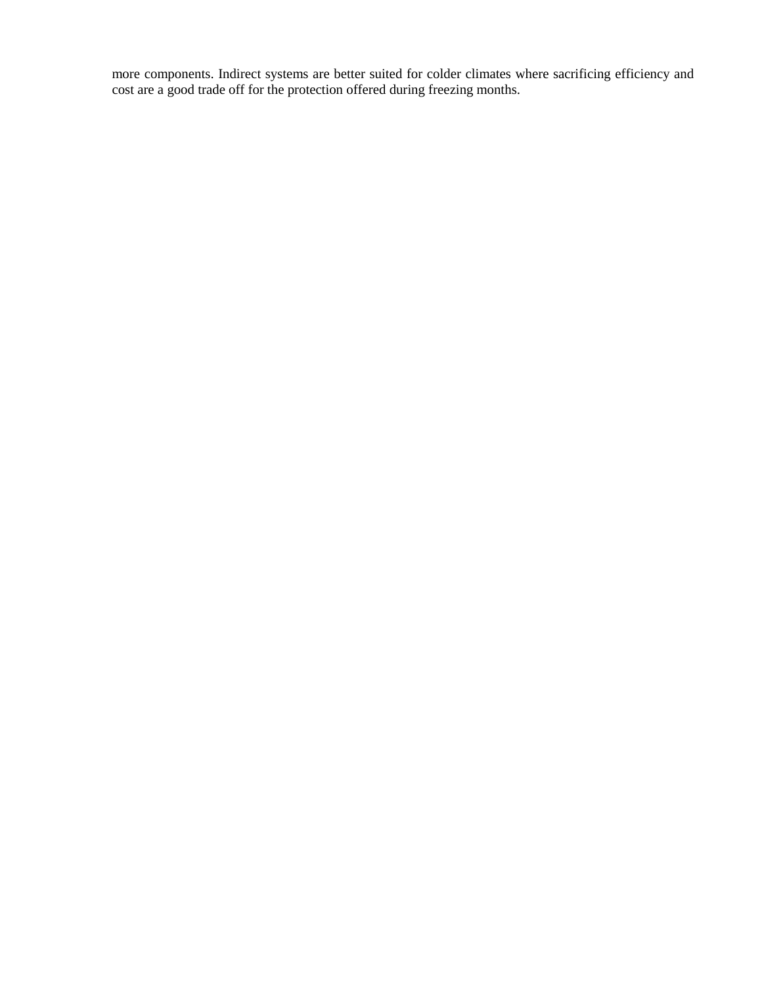more components. Indirect systems are better suited for colder climates where sacrificing efficiency and cost are a good trade off for the protection offered during freezing months.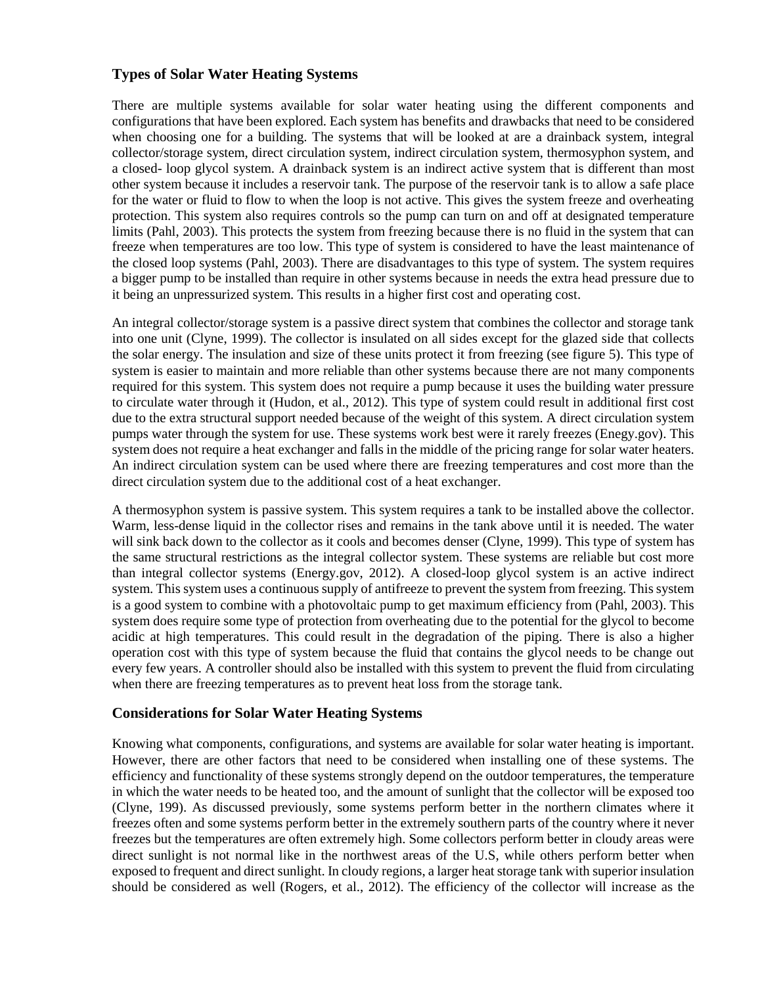## **Types of Solar Water Heating Systems**

There are multiple systems available for solar water heating using the different components and configurations that have been explored. Each system has benefits and drawbacks that need to be considered when choosing one for a building. The systems that will be looked at are a drainback system, integral collector/storage system, direct circulation system, indirect circulation system, thermosyphon system, and a closed- loop glycol system. A drainback system is an indirect active system that is different than most other system because it includes a reservoir tank. The purpose of the reservoir tank is to allow a safe place for the water or fluid to flow to when the loop is not active. This gives the system freeze and overheating protection. This system also requires controls so the pump can turn on and off at designated temperature limits (Pahl, 2003). This protects the system from freezing because there is no fluid in the system that can freeze when temperatures are too low. This type of system is considered to have the least maintenance of the closed loop systems (Pahl, 2003). There are disadvantages to this type of system. The system requires a bigger pump to be installed than require in other systems because in needs the extra head pressure due to it being an unpressurized system. This results in a higher first cost and operating cost.

An integral collector/storage system is a passive direct system that combines the collector and storage tank into one unit (Clyne, 1999). The collector is insulated on all sides except for the glazed side that collects the solar energy. The insulation and size of these units protect it from freezing (see figure 5). This type of system is easier to maintain and more reliable than other systems because there are not many components required for this system. This system does not require a pump because it uses the building water pressure to circulate water through it (Hudon, et al., 2012). This type of system could result in additional first cost due to the extra structural support needed because of the weight of this system. A direct circulation system pumps water through the system for use. These systems work best were it rarely freezes (Enegy.gov). This system does not require a heat exchanger and falls in the middle of the pricing range for solar water heaters. An indirect circulation system can be used where there are freezing temperatures and cost more than the direct circulation system due to the additional cost of a heat exchanger.

A thermosyphon system is passive system. This system requires a tank to be installed above the collector. Warm, less-dense liquid in the collector rises and remains in the tank above until it is needed. The water will sink back down to the collector as it cools and becomes denser (Clyne, 1999). This type of system has the same structural restrictions as the integral collector system. These systems are reliable but cost more than integral collector systems (Energy.gov, 2012). A closed-loop glycol system is an active indirect system. This system uses a continuous supply of antifreeze to prevent the system from freezing. This system is a good system to combine with a photovoltaic pump to get maximum efficiency from (Pahl, 2003). This system does require some type of protection from overheating due to the potential for the glycol to become acidic at high temperatures. This could result in the degradation of the piping. There is also a higher operation cost with this type of system because the fluid that contains the glycol needs to be change out every few years. A controller should also be installed with this system to prevent the fluid from circulating when there are freezing temperatures as to prevent heat loss from the storage tank.

#### **Considerations for Solar Water Heating Systems**

Knowing what components, configurations, and systems are available for solar water heating is important. However, there are other factors that need to be considered when installing one of these systems. The efficiency and functionality of these systems strongly depend on the outdoor temperatures, the temperature in which the water needs to be heated too, and the amount of sunlight that the collector will be exposed too (Clyne, 199). As discussed previously, some systems perform better in the northern climates where it freezes often and some systems perform better in the extremely southern parts of the country where it never freezes but the temperatures are often extremely high. Some collectors perform better in cloudy areas were direct sunlight is not normal like in the northwest areas of the U.S, while others perform better when exposed to frequent and direct sunlight. In cloudy regions, a larger heat storage tank with superior insulation should be considered as well (Rogers, et al., 2012). The efficiency of the collector will increase as the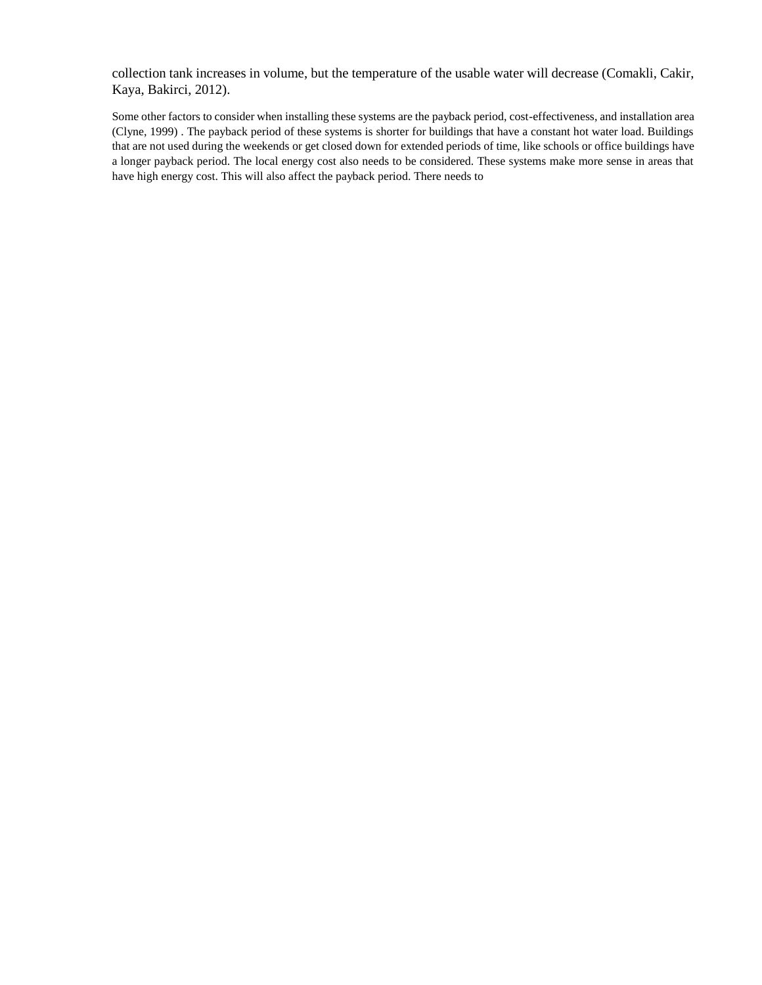collection tank increases in volume, but the temperature of the usable water will decrease (Comakli, Cakir, Kaya, Bakirci, 2012).

Some other factors to consider when installing these systems are the payback period, cost-effectiveness, and installation area (Clyne, 1999) . The payback period of these systems is shorter for buildings that have a constant hot water load. Buildings that are not used during the weekends or get closed down for extended periods of time, like schools or office buildings have a longer payback period. The local energy cost also needs to be considered. These systems make more sense in areas that have high energy cost. This will also affect the payback period. There needs to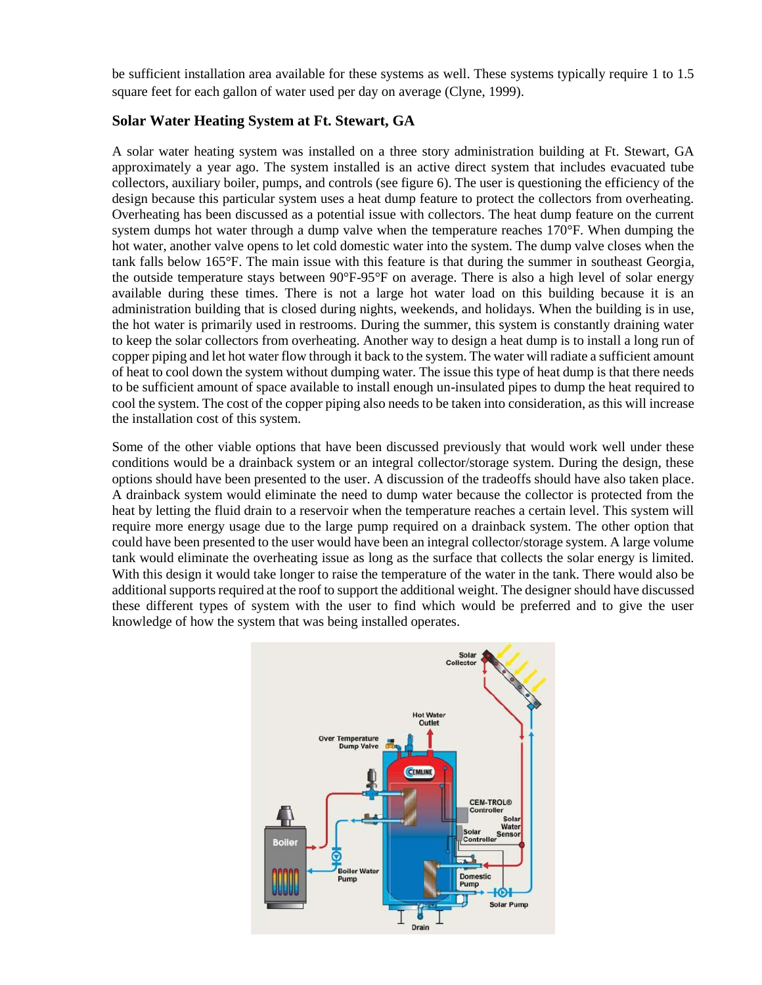be sufficient installation area available for these systems as well. These systems typically require 1 to 1.5 square feet for each gallon of water used per day on average (Clyne, 1999).

#### **Solar Water Heating System at Ft. Stewart, GA**

A solar water heating system was installed on a three story administration building at Ft. Stewart, GA approximately a year ago. The system installed is an active direct system that includes evacuated tube collectors, auxiliary boiler, pumps, and controls (see figure 6). The user is questioning the efficiency of the design because this particular system uses a heat dump feature to protect the collectors from overheating. Overheating has been discussed as a potential issue with collectors. The heat dump feature on the current system dumps hot water through a dump valve when the temperature reaches 170°F. When dumping the hot water, another valve opens to let cold domestic water into the system. The dump valve closes when the tank falls below 165°F. The main issue with this feature is that during the summer in southeast Georgia, the outside temperature stays between 90°F-95°F on average. There is also a high level of solar energy available during these times. There is not a large hot water load on this building because it is an administration building that is closed during nights, weekends, and holidays. When the building is in use, the hot water is primarily used in restrooms. During the summer, this system is constantly draining water to keep the solar collectors from overheating. Another way to design a heat dump is to install a long run of copper piping and let hot water flow through it back to the system. The water will radiate a sufficient amount of heat to cool down the system without dumping water. The issue this type of heat dump is that there needs to be sufficient amount of space available to install enough un-insulated pipes to dump the heat required to cool the system. The cost of the copper piping also needs to be taken into consideration, as this will increase the installation cost of this system.

Some of the other viable options that have been discussed previously that would work well under these conditions would be a drainback system or an integral collector/storage system. During the design, these options should have been presented to the user. A discussion of the tradeoffs should have also taken place. A drainback system would eliminate the need to dump water because the collector is protected from the heat by letting the fluid drain to a reservoir when the temperature reaches a certain level. This system will require more energy usage due to the large pump required on a drainback system. The other option that could have been presented to the user would have been an integral collector/storage system. A large volume tank would eliminate the overheating issue as long as the surface that collects the solar energy is limited. With this design it would take longer to raise the temperature of the water in the tank. There would also be additional supports required at the roof to support the additional weight. The designer should have discussed these different types of system with the user to find which would be preferred and to give the user knowledge of how the system that was being installed operates.

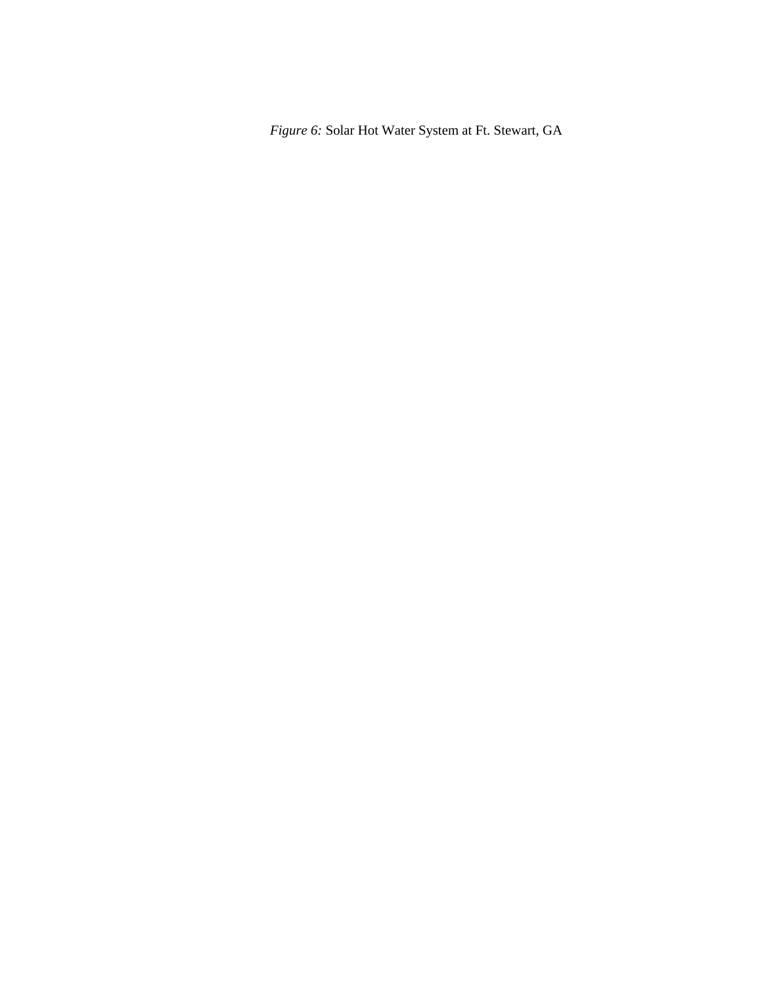*Figure 6:* Solar Hot Water System at Ft. Stewart, GA